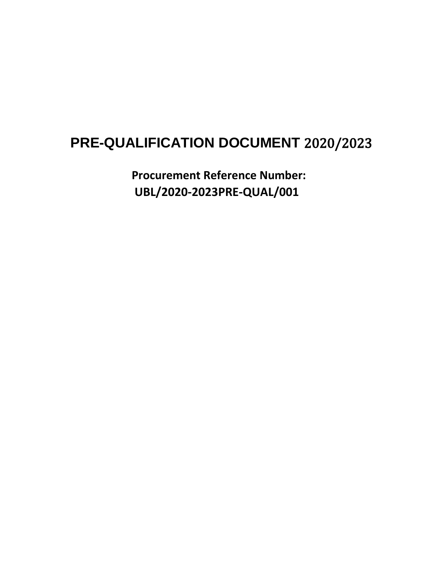# **PRE-QUALIFICATION DOCUMENT** 2020/2023

**Procurement Reference Number: UBL/2020-2023PRE-QUAL/001**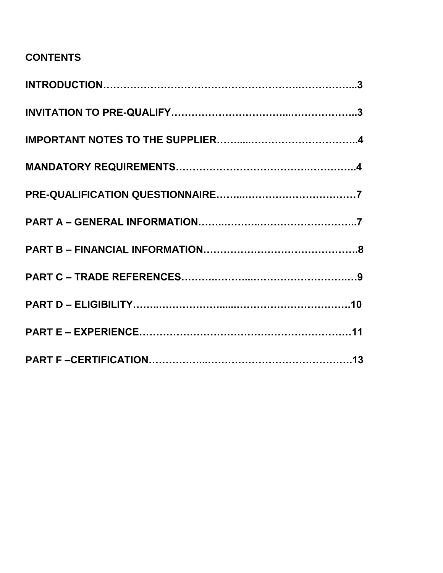### **CONTENTS**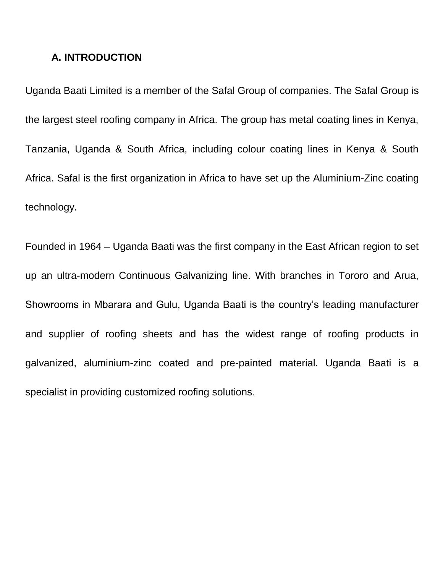#### **A. INTRODUCTION**

Uganda Baati Limited is a member of the Safal Group of companies. The Safal Group is the largest steel roofing company in Africa. The group has metal coating lines in Kenya, Tanzania, Uganda & South Africa, including colour coating lines in Kenya & South Africa. Safal is the first organization in Africa to have set up the Aluminium-Zinc coating technology.

Founded in 1964 – Uganda Baati was the first company in the East African region to set up an ultra-modern Continuous Galvanizing line. With branches in Tororo and Arua, Showrooms in Mbarara and Gulu, Uganda Baati is the country's leading manufacturer and supplier of roofing sheets and has the widest range of roofing products in galvanized, aluminium-zinc coated and pre-painted material. Uganda Baati is a specialist in providing customized roofing solutions.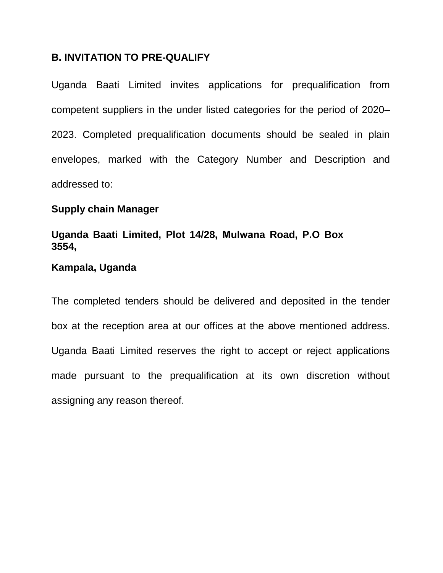### **B. INVITATION TO PRE-QUALIFY**

Uganda Baati Limited invites applications for prequalification from competent suppliers in the under listed categories for the period of 2020– 2023. Completed prequalification documents should be sealed in plain envelopes, marked with the Category Number and Description and addressed to:

### **Supply chain Manager**

### **Uganda Baati Limited, Plot 14/28, Mulwana Road, P.O Box 3554,**

### **Kampala, Uganda**

The completed tenders should be delivered and deposited in the tender box at the reception area at our offices at the above mentioned address. made pursuant to the prequalification at its own discretion without assigning any reason thereof. Uganda Baati Limited reserves the right to accept or reject applications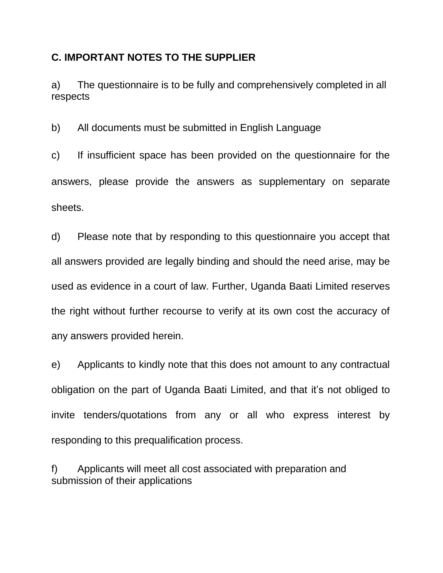### **C. IMPORTANT NOTES TO THE SUPPLIER**

a) The questionnaire is to be fully and comprehensively completed in all respects

b) All documents must be submitted in English Language

c) If insufficient space has been provided on the questionnaire for the answers, please provide the answers as supplementary on separate sheets.

d) Please note that by responding to this questionnaire you accept that all answers provided are legally binding and should the need arise, may be used as evidence in a court of law. Further, Uganda Baati Limited reserves the right without further recourse to verify at its own cost the accuracy of any answers provided herein.

e) Applicants to kindly note that this does not amount to any contractual obligation on the part of Uganda Baati Limited, and that it's not obliged to invite tenders/quotations from any or all who express interest by responding to this prequalification process.

f) Applicants will meet all cost associated with preparation and submission of their applications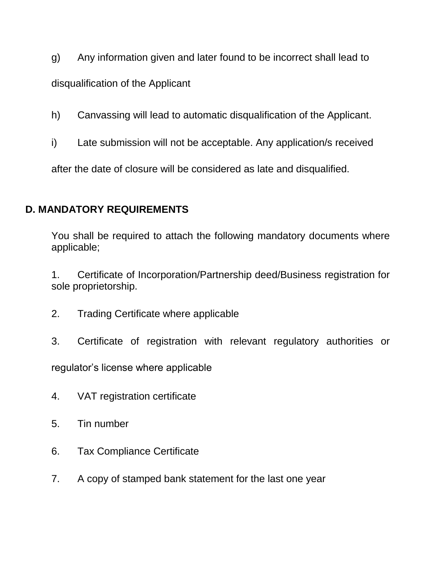- g) Any information given and later found to be incorrect shall lead to disqualification of the Applicant
- h) Canvassing will lead to automatic disqualification of the Applicant.
- i) Late submission will not be acceptable. Any application/s received

after the date of closure will be considered as late and disqualified.

### **D. MANDATORY REQUIREMENTS**

You shall be required to attach the following mandatory documents where applicable;

1. Certificate of Incorporation/Partnership deed/Business registration for sole proprietorship.

- 2. Trading Certificate where applicable
- 3. Certificate of registration with relevant regulatory authorities or

regulator's license where applicable

- 4. VAT registration certificate
- 5. Tin number
- 6. Tax Compliance Certificate
- 7. A copy of stamped bank statement for the last one year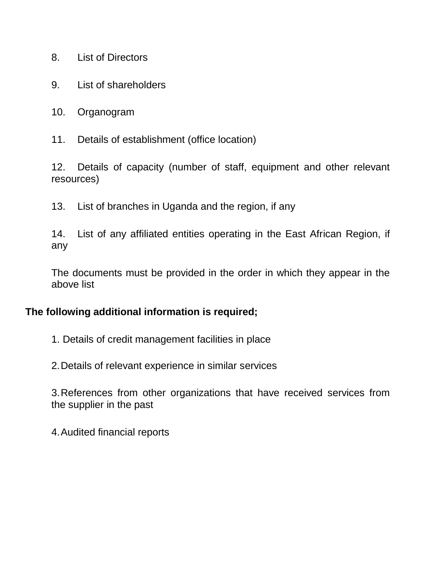- 8. List of Directors
- 9. List of shareholders
- 10. Organogram
- 11. Details of establishment (office location)

12. Details of capacity (number of staff, equipment and other relevant resources)

13. List of branches in Uganda and the region, if any

14. List of any affiliated entities operating in the East African Region, if any

The documents must be provided in the order in which they appear in the above list

#### **The following additional information is required;**

- 1. Details of credit management facilities in place
- 2.Details of relevant experience in similar services

3.References from other organizations that have received services from the supplier in the past

4.Audited financial reports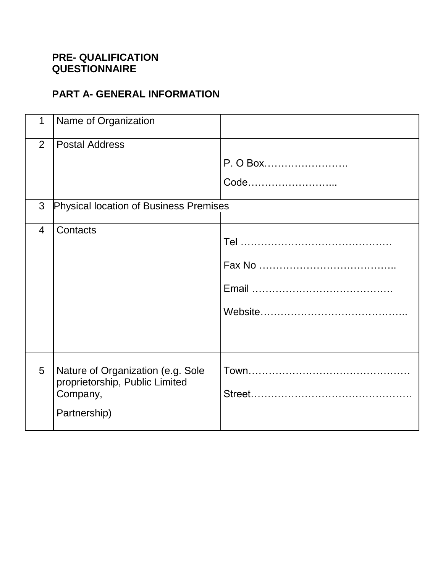### **PRE- QUALIFICATION QUESTIONNAIRE**

# **PART A- GENERAL INFORMATION**

| 1              | Name of Organization                                                                            |                  |
|----------------|-------------------------------------------------------------------------------------------------|------------------|
| 2              | <b>Postal Address</b>                                                                           | P. O Box<br>Code |
| 3              | <b>Physical location of Business Premises</b>                                                   |                  |
| $\overline{4}$ | Contacts                                                                                        |                  |
| 5              | Nature of Organization (e.g. Sole<br>proprietorship, Public Limited<br>Company,<br>Partnership) |                  |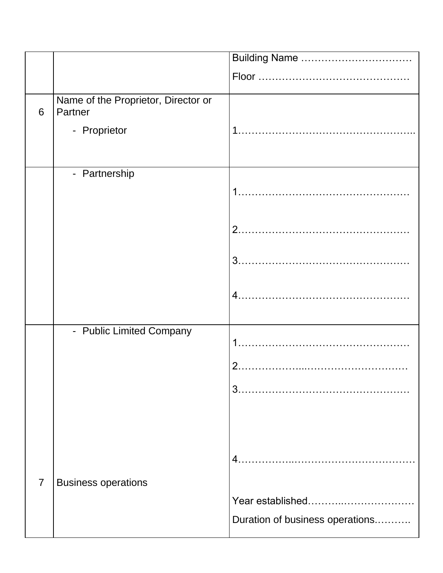|                |                                                | Building Name                   |
|----------------|------------------------------------------------|---------------------------------|
|                |                                                |                                 |
| 6              | Name of the Proprietor, Director or<br>Partner |                                 |
|                | - Proprietor                                   |                                 |
|                |                                                |                                 |
|                | - Partnership                                  |                                 |
|                |                                                |                                 |
|                |                                                |                                 |
|                |                                                |                                 |
|                |                                                |                                 |
|                | - Public Limited Company                       |                                 |
|                |                                                |                                 |
|                |                                                | $\overline{2}$ .                |
|                |                                                | 3.                              |
|                |                                                |                                 |
|                |                                                |                                 |
|                |                                                | $4_{-}$                         |
| $\overline{7}$ | <b>Business operations</b>                     |                                 |
|                |                                                | Year established                |
|                |                                                | Duration of business operations |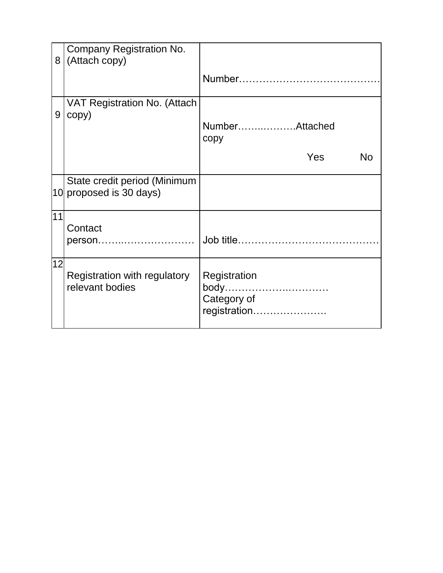| 8  | Company Registration No.<br>(Attach copy)               |                                                     |
|----|---------------------------------------------------------|-----------------------------------------------------|
|    |                                                         |                                                     |
| 9  | VAT Registration No. (Attach<br>copy)                   |                                                     |
|    |                                                         | NumberAttached<br>copy                              |
|    |                                                         | Yes<br><b>No</b>                                    |
|    | State credit period (Minimum<br>10 proposed is 30 days) |                                                     |
| 11 | Contact<br>person                                       |                                                     |
| 12 | Registration with regulatory<br>relevant bodies         | Registration<br>body<br>Category of<br>registration |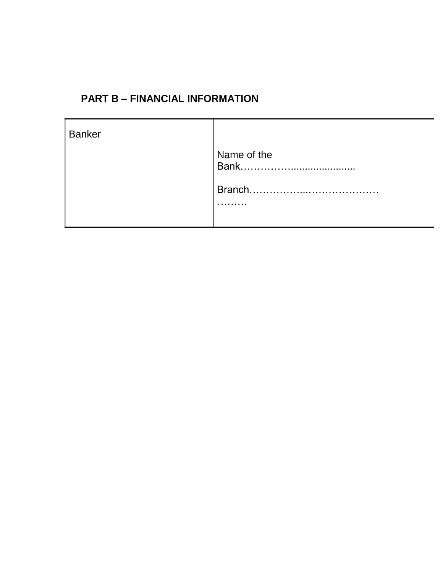# **PART B – FINANCIAL INFORMATION**

| <b>Banker</b> |                     |
|---------------|---------------------|
|               | Name of the<br>Bank |
|               | Branch<br>.         |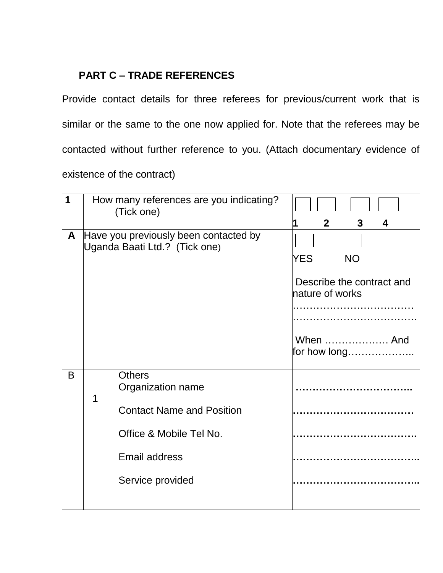# **PART C – TRADE REFERENCES**

|                                                                               |   | Provide contact details for three referees for previous/current work that is                                                           |                                                                                                                |
|-------------------------------------------------------------------------------|---|----------------------------------------------------------------------------------------------------------------------------------------|----------------------------------------------------------------------------------------------------------------|
| similar or the same to the one now applied for. Note that the referees may be |   |                                                                                                                                        |                                                                                                                |
|                                                                               |   | contacted without further reference to you. (Attach documentary evidence of                                                            |                                                                                                                |
|                                                                               |   | existence of the contract)                                                                                                             |                                                                                                                |
| 1                                                                             |   | How many references are you indicating?<br>(Tick one)                                                                                  |                                                                                                                |
| A                                                                             |   | Have you previously been contacted by<br>Uganda Baati Ltd.? (Tick one)                                                                 | $\mathbf{2}$<br>3<br>4<br><b>YES</b><br><b>NO</b><br>Describe the contract and<br>nature of works<br>When  And |
| B                                                                             | 1 | <b>Others</b><br>Organization name<br><b>Contact Name and Position</b><br>Office & Mobile Tel No.<br>Email address<br>Service provided | for how long                                                                                                   |
|                                                                               |   |                                                                                                                                        |                                                                                                                |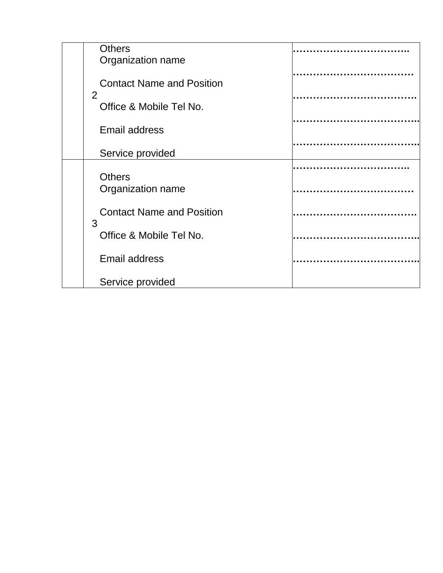| <b>Others</b><br>Organization name        |  |
|-------------------------------------------|--|
| <b>Contact Name and Position</b>          |  |
| $\overline{2}$<br>Office & Mobile Tel No. |  |
| <b>Email address</b>                      |  |
| Service provided                          |  |
| <b>Others</b><br>Organization name        |  |
| <b>Contact Name and Position</b><br>3     |  |
| Office & Mobile Tel No.                   |  |
| <b>Email address</b>                      |  |
| Service provided                          |  |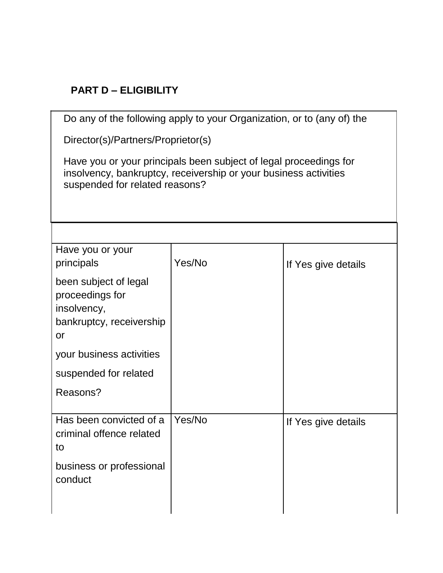# **PART D – ELIGIBILITY**

| Do any of the following apply to your Organization, or to (any of) the                                                                                                  |        |                     |
|-------------------------------------------------------------------------------------------------------------------------------------------------------------------------|--------|---------------------|
| Director(s)/Partners/Proprietor(s)                                                                                                                                      |        |                     |
| Have you or your principals been subject of legal proceedings for<br>insolvency, bankruptcy, receivership or your business activities<br>suspended for related reasons? |        |                     |
|                                                                                                                                                                         |        |                     |
| Have you or your<br>principals                                                                                                                                          | Yes/No | If Yes give details |
| been subject of legal<br>proceedings for<br>insolvency,<br>bankruptcy, receivership<br>or                                                                               |        |                     |
| your business activities                                                                                                                                                |        |                     |
| suspended for related                                                                                                                                                   |        |                     |
| Reasons?                                                                                                                                                                |        |                     |
| Has been convicted of a<br>criminal offence related<br>to<br>business or professional<br>conduct                                                                        | Yes/No | If Yes give details |
|                                                                                                                                                                         |        |                     |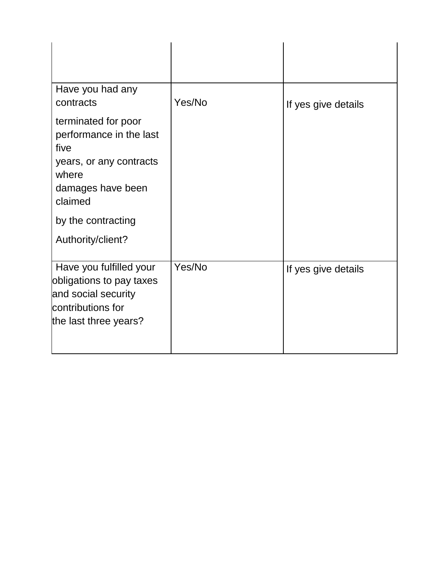| Have you had any<br>contracts                                                                                                                                         | Yes/No | If yes give details |
|-----------------------------------------------------------------------------------------------------------------------------------------------------------------------|--------|---------------------|
| terminated for poor<br>performance in the last<br>five<br>years, or any contracts<br>where<br>damages have been<br>claimed<br>by the contracting<br>Authority/client? |        |                     |
| Have you fulfilled your<br>obligations to pay taxes<br>and social security<br>contributions for<br>the last three years?                                              | Yes/No | If yes give details |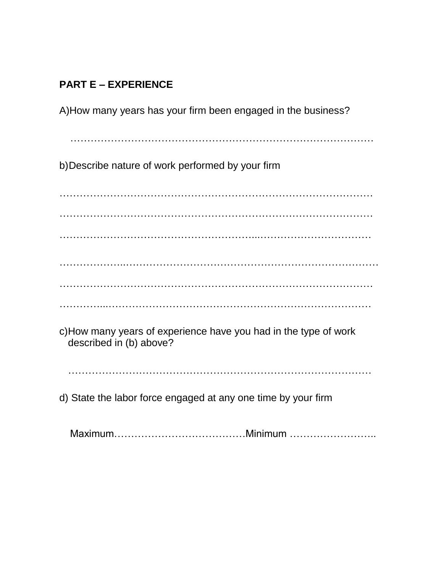# **PART E – EXPERIENCE**

A)How many years has your firm been engaged in the business?

………………………………………………………………………………

b)Describe nature of work performed by your firm

………………………………………………………………………………… ………………………………………………………………………………… …………………………………………………...…………………………… ………………..………………………………………………………………… ………………………………………………………………………………… …………...……………………………………………………………………

c)How many years of experience have you had in the type of work described in (b) above?

………………………………………………………………………………

d) State the labor force engaged at any one time by your firm

Maximum…………………………………Minimum ……………………..